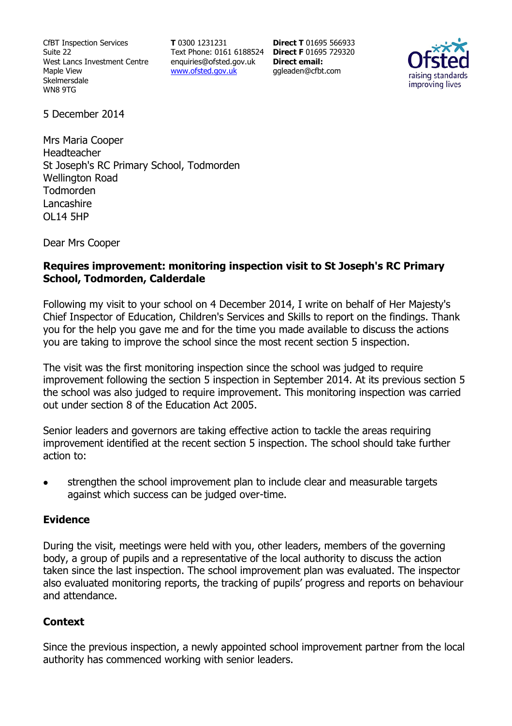CfBT Inspection Services Suite 22 West Lancs Investment Centre Maple View Skelmersdale WN8 9TG

**T** 0300 1231231 Text Phone: 0161 6188524 **Direct F** 01695 729320 enquiries@ofsted.gov.uk www.ofsted.gov.uk

**Direct T** 01695 566933 **Direct email:**  ggleaden@cfbt.com



5 December 2014

Mrs Maria Cooper Headteacher St Joseph's RC Primary School, Todmorden Wellington Road Todmorden Lancashire OL14 5HP

Dear Mrs Cooper

### **Requires improvement: monitoring inspection visit to St Joseph's RC Primary School, Todmorden, Calderdale**

Following my visit to your school on 4 December 2014, I write on behalf of Her Majesty's Chief Inspector of Education, Children's Services and Skills to report on the findings. Thank you for the help you gave me and for the time you made available to discuss the actions you are taking to improve the school since the most recent section 5 inspection.

The visit was the first monitoring inspection since the school was judged to require improvement following the section 5 inspection in September 2014. At its previous section 5 the school was also judged to require improvement. This monitoring inspection was carried out under section 8 of the Education Act 2005.

Senior leaders and governors are taking effective action to tackle the areas requiring improvement identified at the recent section 5 inspection. The school should take further action to:

strengthen the school improvement plan to include clear and measurable targets against which success can be judged over-time.

### **Evidence**

During the visit, meetings were held with you, other leaders, members of the governing body, a group of pupils and a representative of the local authority to discuss the action taken since the last inspection. The school improvement plan was evaluated. The inspector also evaluated monitoring reports, the tracking of pupils' progress and reports on behaviour and attendance.

# **Context**

Since the previous inspection, a newly appointed school improvement partner from the local authority has commenced working with senior leaders.